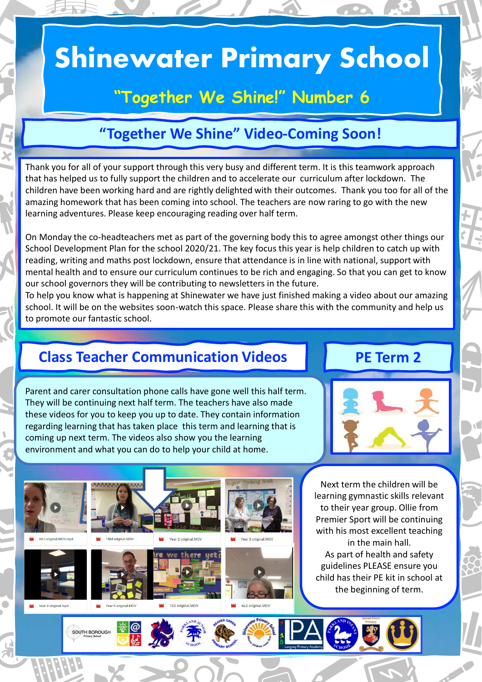# **Shinewater Primary School**

# **"Together We Shine!" Number 6**

## **"Together We Shine" Video-Coming Soon!**

Thank you for all of your support through this very busy and different term. It is this teamwork approach that has helped us to fully support the children and to accelerate our curriculum after lockdown. The children have been working hard and are rightly delighted with their outcomes. Thank you too for all of the amazing homework that has been coming into school. The teachers are now raring to go with the new learning adventures. Please keep encouraging reading over half term.

On Monday the co-headteachers met as part of the governing body this to agree amongst other things our School Development Plan for the school 2020/21. The key focus this year is help children to catch up with reading, writing and maths post lockdown, ensure that attendance is in line with national, support with mental health and to ensure our curriculum continues to be rich and engaging. So that you can get to know our school governors they will be contributing to newsletters in the future.

To help you know what is happening at Shinewater we have just finished making a video about our amazing school. It will be on the websites soon-watch this space. Please share this with the community and help us to promote our fantastic school.

### **Class Teacher Communication Videos | PE Term 2**

Parent and carer consultation phone calls have gone well this half term. They will be continuing next half term. The teachers have also made these videos for you to keep you up to date. They contain information regarding learning that has taken place this term and learning that is coming up next term. The videos also show you the learning environment and what you can do to help your child at home.





Next term the children will be learning gymnastic skills relevant to their year group. Ollie from Premier Sport will be continuing with his most excellent teaching in the main hall. As part of health and safety guidelines PLEASE ensure you child has their PE kit in school at the beginning of term.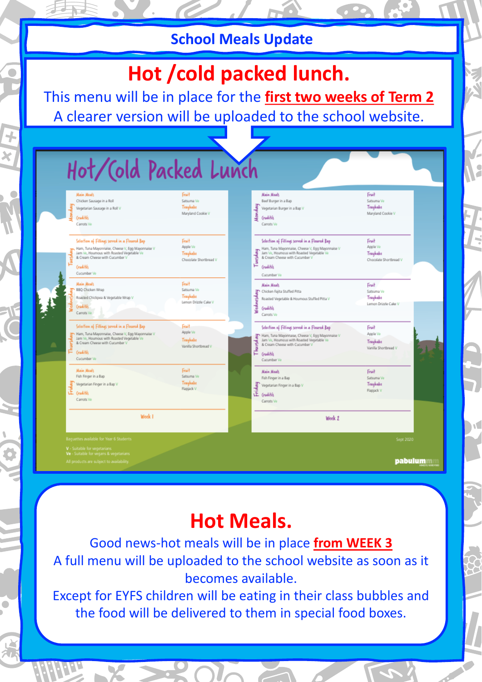## **School Meals Update**

# Hot /cold packed lunch.

This menu will be in place for the **first two weeks of Term 2** A clearer version will be uploaded to the school website.

| Œ.<br>Crudités<br>Carrots Ve<br>Week 1                                                                                                                                                                              | Flapjack V                                                     | đay<br>E crudités<br>Carrots Ve<br>Week 2                                                                                                                                                                                         | Flapjack V                                              |  |
|---------------------------------------------------------------------------------------------------------------------------------------------------------------------------------------------------------------------|----------------------------------------------------------------|-----------------------------------------------------------------------------------------------------------------------------------------------------------------------------------------------------------------------------------|---------------------------------------------------------|--|
| Main Meals<br>Fish Finger in a Bap<br>Vegetarian Finger in a Bap V                                                                                                                                                  | Fruit<br>Satsuma Ve<br><b>Traybake</b>                         | <b>Main Meals</b><br>Fish Finger in a Bap<br>Vegetarian Finger in a Bap V                                                                                                                                                         | Fruit<br>Satsuma Ve<br>Traubake                         |  |
| Selection of Fillings served in a Floured Bap<br>Ham, Tuna Mayonnaise, Cheese V, Egg Mayonnaise V<br>Jam Ve, Houmous with Roasted Vegetable Ve<br>& Cream Cheese with Cucumber V<br><b>Crudités</b><br>Cucumber Vo. | Fruit.<br>Apple Ve<br><b>Traybake</b><br>Vanilla Shortbread V  | Selection of Fillings served in a Floured Bap<br>Ham, Tuna Mayonnaise, Cheese V, Egg Mayonnaise V<br>Jam Ve, Houmous with Roasted Vegetable Ve<br>Thurd<br>& Cream Cheese with Cucumber V<br>Crudités<br>Cucumber Ve              | Fruit<br>Apple Ve<br>Traybake<br>Vanilla Shortbread V   |  |
| Main Meals<br>BBQ Chicken Wrap<br>Roasted Chickpea & Vegetable Wrap V<br><b>Crudités</b><br>Carrots Ve                                                                                                              | Fruit<br>Satsuma Ve<br>Traybake<br>Lemon Drizzle Cake V        | <b>Main Meah</b><br>Chicken Fajita Stuffed Pitta<br>₹<br>Wednesd<br>Roasted Vegetable & Houmous Stuffed Pitta V<br>Crudités<br>Carrots Ve                                                                                         | Fruit<br>Satsuma Ve<br>Traybake<br>Lemon Drizzle Cake V |  |
| Selection of Fillings served in a Floured Bap<br>Ham, Tuna Mayonnaise, Cheese V, Egg Mayonnaise V<br>Jam Ve, Houmous with Roasted Vegetable Ve<br>& Cream Cheese with Cucumber V<br>Crudités<br>Cucumber Vo         | Fruit<br>Apple Ve<br><b>Traybake</b><br>Chocolate Shortbread V | Selection of Fillings served in a Floured Bap<br>Ham, Tuna Mayonnaise, Cheese V, Egg Mayonnaise V<br>uetday<br>Jam Ve, Houmous with Roasted Vegetable Ve<br>& Cream Cheese with Cucumber V<br>۴<br><b>Crudités</b><br>Cucumber Ve | Fruit<br>Apple Ve<br>Traubake<br>Chocolate Shortbread V |  |
| Main Meals<br>Chicken Sausage in a Roll<br>ર્ક્<br>Vegetarian Sausage in a Roll V<br>횾<br>Crudités<br>Carrots Ve                                                                                                    | Fruit<br>Satsuma Ve<br><b>Traybake</b><br>Maryland Cookie V    | <b>Main Meals</b><br>Beef Burger in a Bap<br>Ulomdan<br>Vegetarian Burger in a Bap V<br>Crudités<br>Carrots Ve                                                                                                                    | Fruit<br>Satsuma Vo<br>Traybake<br>Maryland Cookie V    |  |

# **Hot Meals.**

Good news-hot meals will be in place **from WEEK 3** A full menu will be uploaded to the school website as soon as it becomes available.

Except for EYFS children will be eating in their class bubbles and the food will be delivered to them in special food boxes.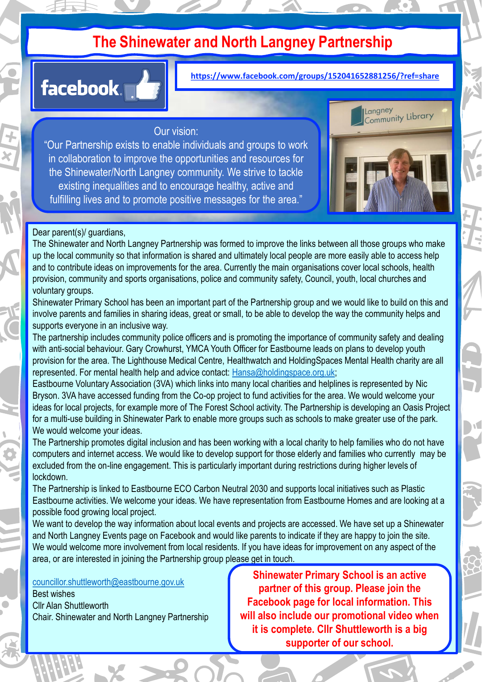# **The Shinewater and North Langney Partnership**



Week 8 **https://www.facebook.com/groups/152041652881256/?ref=share**

### Our vision:

"Our Partnership exists to enable individuals and groups to work in collaboration to improve the opportunities and resources for the Shinewater/North Langney community. We strive to tackle existing inequalities and to encourage healthy, active and fulfilling lives and to promote positive messages for the area."



### Dear parent(s)/ guardians,

The Shinewater and North Langney Partnership was formed to improve the links between all those groups who make up the local community so that information is shared and ultimately local people are more easily able to access help and to contribute ideas on improvements for the area. Currently the main organisations cover local schools, health provision, community and sports organisations, police and community safety, Council, youth, local churches and voluntary groups.

Shinewater Primary School has been an important part of the Partnership group and we would like to build on this and involve parents and families in sharing ideas, great or small, to be able to develop the way the community helps and supports everyone in an inclusive way.

The partnership includes community police officers and is promoting the importance of community safety and dealing with anti-social behaviour. Gary Crowhurst, YMCA Youth Officer for Eastbourne leads on plans to develop youth provision for the area. The Lighthouse Medical Centre, Healthwatch and HoldingSpaces Mental Health charity are all represented. For mental health help and advice contact: [Hansa@holdingspace.org.uk;](mailto:Hansa@holdingspace.org.uk)

Eastbourne Voluntary Association (3VA) which links into many local charities and helplines is represented by Nic Bryson. 3VA have accessed funding from the Co-op project to fund activities for the area. We would welcome your ideas for local projects, for example more of The Forest School activity. The Partnership is developing an Oasis Project for a multi-use building in Shinewater Park to enable more groups such as schools to make greater use of the park. We would welcome your ideas.

The Partnership promotes digital inclusion and has been working with a local charity to help families who do not have computers and internet access. We would like to develop support for those elderly and families who currently may be excluded from the on-line engagement. This is particularly important during restrictions during higher levels of lockdown.

The Partnership is linked to Eastbourne ECO Carbon Neutral 2030 and supports local initiatives such as Plastic Eastbourne activities. We welcome your ideas. We have representation from Eastbourne Homes and are looking at a possible food growing local project.

We want to develop the way information about local events and projects are accessed. We have set up a Shinewater and North Langney Events page on Facebook and would like parents to indicate if they are happy to join the site. We would welcome more involvement from local residents. If you have ideas for improvement on any aspect of the area, or are interested in joining the Partnership group please get in touch.

[councillor.shuttleworth@eastbourne.gov.uk](mailto:councillor.shuttleworth@eastbourne.gov.uk)

Best wishes Cllr Alan Shuttleworth Chair. Shinewater and North Langney Partnership

**Shinewater Primary School is an active partner of this group. Please join the Facebook page for local information. This will also include our promotional video when it is complete. Cllr Shuttleworth is a big supporter of our school.**